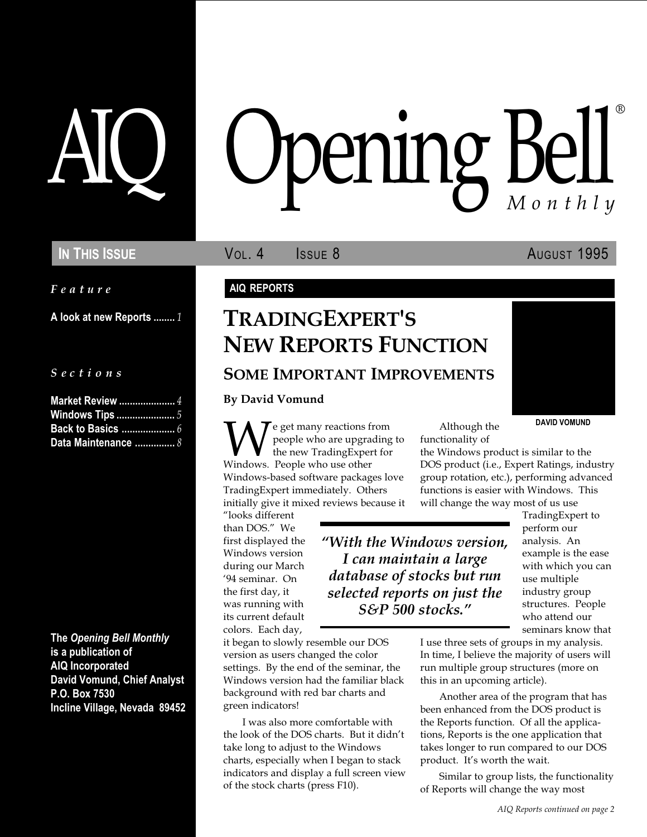Feature

A look at new Reports ........ 1

### S e c t i o n s

| <b>Market Review </b> 4 |  |
|-------------------------|--|
| <b>Windows Tips </b> 5  |  |
|                         |  |
| Data Maintenance  8     |  |

The Opening Bell Monthly is a publication of AIQ Incorporated David Vomund, Chief Analyst P.O. Box 7530 Incline Village, Nevada 89452

# pening Bel Monthly ®

IN THIS ISSUE **VOL. 4** ISSUE 8 AUGUST 1995

### AIQ REPORTS

# TRADINGEXPERT'S NEW REPORTS FUNCTION SOME IMPORTANT IMPROVEMENTS

By David Vomund

**Example 19 AVID VOMUND**<br>
People who are upgrading to<br>
Windows. People who use other **DOS** product (i.e., Expert Ratings, ind<br>
DOS product (i.e., Expert Ratings, ind people who are upgrading to the new TradingExpert for Windows. People who use other Windows-based software packages love TradingExpert immediately. Others initially give it mixed reviews because it

looks different than DOS." We first displayed the Windows version during our March 94 seminar. On the first day, it was running with its current default colors. Each day,

it began to slowly resemble our DOS version as users changed the color settings. By the end of the seminar, the Windows version had the familiar black background with red bar charts and green indicators!

I was also more comfortable with the look of the DOS charts. But it didn't take long to adjust to the Windows charts, especially when I began to stack indicators and display a full screen view of the stock charts (press F10).

Although the functionality of

the Windows product is similar to the DOS product (i.e., Expert Ratings, industry group rotation, etc.), performing advanced functions is easier with Windows. This will change the way most of us use

With the Windows version, I can maintain a large database of stocks but run selected reports on just the S&P 500 stocks.

TradingExpert to perform our analysis. An example is the ease with which you can use multiple industry group structures. People who attend our seminars know that

I use three sets of groups in my analysis. In time, I believe the majority of users will run multiple group structures (more on this in an upcoming article).

Another area of the program that has been enhanced from the DOS product is the Reports function. Of all the applications, Reports is the one application that takes longer to run compared to our DOS product. It's worth the wait.

Similar to group lists, the functionality of Reports will change the way most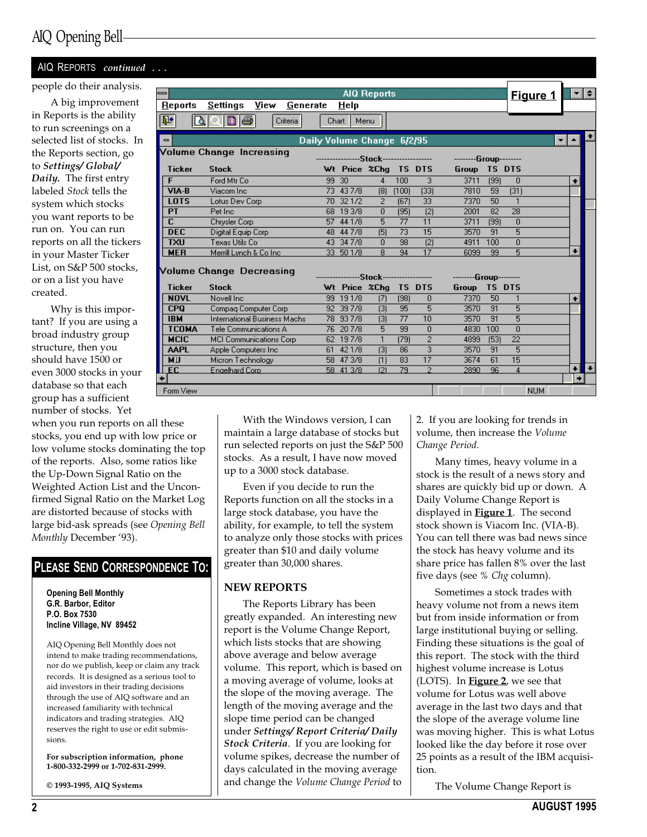### AIQ REPORTS continued

#### people do their analysis.

A big improvement in Reports is the ability to run screenings on a selected list of stocks. In the Reports section, go to Settings/ Global/ Daily. The first entry labeled Stock tells the system which stocks you want reports to be run on. You can run reports on all the tickers in your Master Ticker List, on S&P 500 stocks, or on a list you have created.

Why is this important? If you are using a broad industry group structure, then you should have 1500 or even 3000 stocks in your database so that each group has a sufficient number of stocks. Yet

when you run reports on all these stocks, you end up with low price or low volume stocks dominating the top of the reports. Also, some ratios like the Up-Down Signal Ratio on the Weighted Action List and the Unconfirmed Signal Ratio on the Market Log are distorted because of stocks with large bid-ask spreads (see Opening Bell Monthly December '93).

### PLEASE SEND CORRESPONDENCE TO:

Opening Bell Monthly G.R. Barbor, Editor P.O. Box 7530 Incline Village, NV 89452

AIQ Opening Bell Monthly does not intend to make trading recommendations, nor do we publish, keep or claim any track records. It is designed as a serious tool to aid investors in their trading decisions through the use of AIQ software and an increased familiarity with technical indicators and trading strategies. AIQ reserves the right to use or edit submissions.

For subscription information, phone 1-800-332-2999 or 1-702-831-2999.

© 1993-1995, AIQ Systems

| =                              |                                      |       |                                         | <b>AIQ Reports</b> |                 |                 |                                                                        |               | <u>Figure 1</u>  |             | ≁I≑                  |
|--------------------------------|--------------------------------------|-------|-----------------------------------------|--------------------|-----------------|-----------------|------------------------------------------------------------------------|---------------|------------------|-------------|----------------------|
| Reports                        | <u>S</u> ettings<br>View<br>Generate |       | HeIp                                    |                    |                 |                 |                                                                        |               |                  |             |                      |
| $\overline{\mathbf{P}^*}$<br>₫ | n ə<br>Criteria <sup>®</sup>         |       | Menu<br>Chart :                         |                    |                 |                 |                                                                        |               |                  |             |                      |
|                                |                                      |       |                                         |                    |                 |                 |                                                                        |               |                  |             |                      |
| $\blacksquare$                 |                                      |       | Daily Volume Change 6/2/95              |                    |                 |                 |                                                                        |               |                  |             |                      |
|                                | Volume Change Increasing             |       | ----------------Stock------------------ |                    |                 |                 | --------Group--------                                                  |               |                  |             |                      |
| <b>Ticker</b>                  | <b>Stock</b>                         |       | Wt Price %Chg TS DTS                    |                    |                 |                 | Group                                                                  | <b>TS DTS</b> |                  |             |                      |
| F                              | Ford Mtr Co.                         | 99 30 |                                         | $\overline{4}$     | 100             | 3               | 3711                                                                   | (99)          | $\mathbf{0}$     |             |                      |
| VIA-B                          | Viacom Inc.                          |       | 73 43 7/8                               | [8]                | (100)           | (33)            | 7810                                                                   | 59            | (31)             | ٠           |                      |
| <b>LOTS</b>                    | Lotus Dev Corp                       |       | 70 32 1/2                               | $\overline{2}$     | (67)            | $\overline{33}$ | 7370                                                                   | 50            | $\overline{1}$   |             |                      |
| PT                             | Pet Inc.                             |       | 68 19 3/8                               | $\overline{0}$     | (95)            | (2)             | 2001                                                                   | 82            | $\overline{28}$  |             |                      |
| $\overline{\mathbf{c}}$        | Chrysler Corp                        |       | 57 44 1/8                               | 5                  | 77              | 11              | 3711                                                                   | (99)          | $\overline{0}$   |             |                      |
| <b>DEC</b>                     | Digital Equip Corp                   |       | 48 44 7/8                               | (5)                | 73              | 15              | 3570                                                                   | 91            | 5                |             |                      |
| <b>TXU</b>                     | Texas Utils Co                       |       | 43 34 7/8                               | $\overline{0}$     | 98              | (2)             | 4911                                                                   | 100           | Ō                |             |                      |
| <b>MER</b>                     | Merrill Lynch & Co Inc.              |       | 33 50 1/8                               | 8                  | 94              | 17              | 6099                                                                   | 99            | 5                |             |                      |
|                                |                                      |       |                                         |                    |                 |                 |                                                                        |               |                  |             |                      |
|                                | Volume Change Decreasing             |       |                                         |                    |                 |                 | ---------------Stock------------------           --------Group-------- |               |                  |             |                      |
| <b>Ticker</b>                  | <b>Stock</b>                         |       | Wt Price %Chq TS DTS                    |                    |                 |                 | Group TS DTS                                                           |               |                  |             |                      |
| <b>NOVL</b>                    | Novell Inc.                          |       | 99 19 1/8                               | (7)                | (98)            | $\mathbf{0}$    | 7370                                                                   | 50            | $\mathbf{1}$     | ٠           |                      |
| CP <sub>0</sub>                | Compag Computer Corp.                |       | 92 39 7/8                               | $[3]$              | 95              | $\overline{5}$  | 3570                                                                   | 91            | 5                |             |                      |
| <b>IBM</b>                     | International Business Machs         |       | 78 93 7/8                               | $[3]$              | $\overline{77}$ | 10              | 3570                                                                   | 91            | 5                |             |                      |
| <b>TCOMA</b>                   | Tele Communications A                |       | 76 20 7/8                               | $\overline{5}$     | 99              | $\overline{0}$  | 4830                                                                   | 100           | $\overline{0}$   |             |                      |
| <b>MCIC</b>                    | MCI Communications Corp              |       | 62 19 7/8                               | $\mathbf{1}$       | (79)            | $\overline{2}$  | 4899                                                                   | [53]          | 22               |             |                      |
| <b>AAPL</b>                    | Apple Computers Inc.                 |       | 61 42 1/8                               | $\sqrt{3}$         | 86              | $\overline{3}$  | 3570                                                                   | 91            | $\overline{5}$   |             |                      |
| МIJ                            | Micron Technology                    |       | 58 47 3/8                               | (1)                | 83              | 17              | 3674                                                                   | 61            | 15               |             |                      |
| E C                            | Engelhard Corp.                      |       | 58 41 3/8                               | (2)                | 79              | $\overline{2}$  | 2890                                                                   | 96            | $\boldsymbol{4}$ | $\ddotmark$ | $\ddot{\phantom{1}}$ |
|                                |                                      |       |                                         |                    |                 |                 |                                                                        |               |                  |             |                      |
| Form View                      |                                      |       |                                         |                    |                 |                 |                                                                        |               | <b>NUM</b>       |             |                      |

With the Windows version, I can maintain a large database of stocks but run selected reports on just the S&P 500 stocks. As a result, I have now moved up to a 3000 stock database.

Even if you decide to run the Reports function on all the stocks in a large stock database, you have the ability, for example, to tell the system to analyze only those stocks with prices greater than \$10 and daily volume greater than 30,000 shares.

### NEW REPORTS

The Reports Library has been greatly expanded. An interesting new report is the Volume Change Report, which lists stocks that are showing above average and below average volume. This report, which is based on a moving average of volume, looks at the slope of the moving average. The length of the moving average and the slope time period can be changed under Settings/ Report Criteria/ Daily Stock Criteria. If you are looking for volume spikes, decrease the number of days calculated in the moving average and change the Volume Change Period to

2. If you are looking for trends in volume, then increase the Volume Change Period.

Many times, heavy volume in a stock is the result of a news story and shares are quickly bid up or down. A Daily Volume Change Report is displayed in **Figure 1**. The second stock shown is Viacom Inc. (VIA-B). You can tell there was bad news since the stock has heavy volume and its share price has fallen 8% over the last five days (see % Chg column).

Sometimes a stock trades with heavy volume not from a news item but from inside information or from large institutional buying or selling. Finding these situations is the goal of this report. The stock with the third highest volume increase is Lotus (LOTS). In **Figure 2**, we see that volume for Lotus was well above average in the last two days and that the slope of the average volume line was moving higher. This is what Lotus looked like the day before it rose over 25 points as a result of the IBM acquisition.

The Volume Change Report is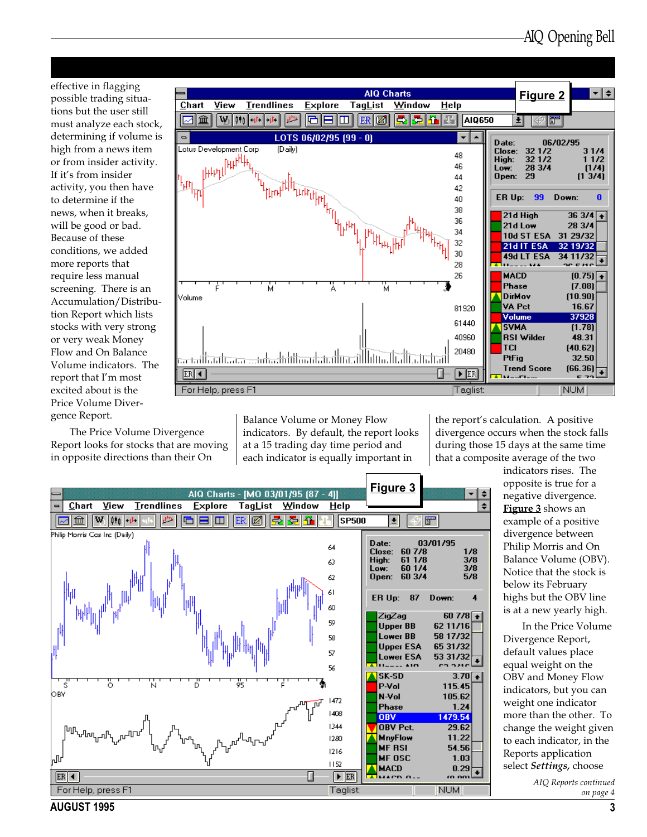effective in flagging possible trading situations but the user still must analyze each stock, determining if volume is high from a news item or from insider activity. If it's from insider activity, you then have to determine if the news, when it breaks, will be good or bad. Because of these conditions, we added more reports that require less manual screening. There is an Accumulation/Distribution Report which lists stocks with very strong or very weak Money Flow and On Balance Volume indicators. The report that I'm most excited about is the Price Volume Divergence Report.

The Price Volume Divergence Report looks for stocks that are moving in opposite directions than their On



Balance Volume or Money Flow indicators. By default, the report looks at a 15 trading day time period and each indicator is equally important in

the report's calculation. A positive divergence occurs when the stock falls during those 15 days at the same time that a composite average of the two



indicators rises. The opposite is true for a negative divergence. Figure 3 shows an example of a positive divergence between Philip Morris and On Balance Volume (OBV). Notice that the stock is below its February highs but the OBV line is at a new yearly high.

In the Price Volume Divergence Report, default values place equal weight on the OBV and Money Flow indicators, but you can weight one indicator more than the other. To change the weight given to each indicator, in the Reports application select Settings, choose

> AIQ Reports continued on page 4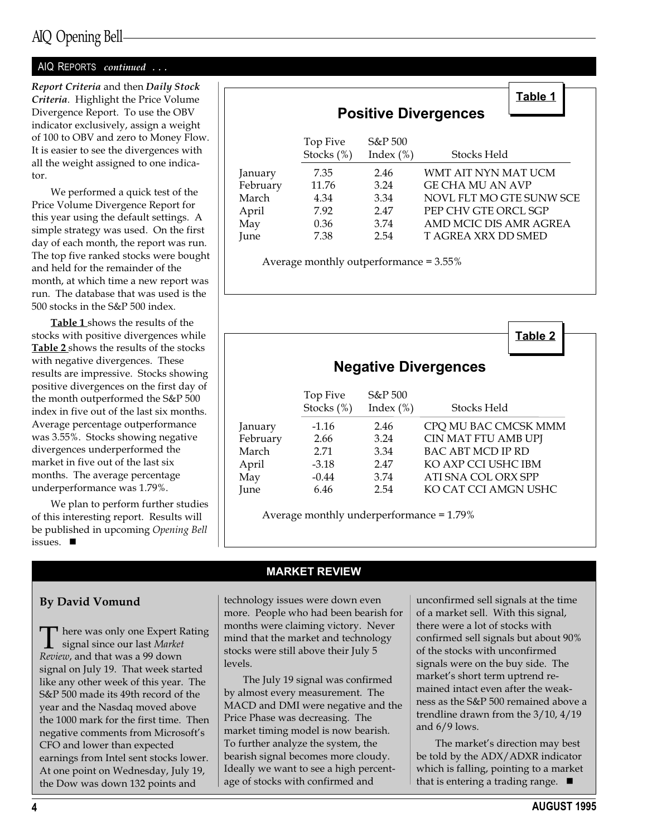### AIQ REPORTS continued ...

Report Criteria and then Daily Stock Criteria. Highlight the Price Volume Divergence Report. To use the OBV indicator exclusively, assign a weight of 100 to OBV and zero to Money Flow. It is easier to see the divergences with all the weight assigned to one indicator.

We performed a quick test of the Price Volume Divergence Report for this year using the default settings. A simple strategy was used. On the first day of each month, the report was run. The top five ranked stocks were bought and held for the remainder of the month, at which time a new report was run. The database that was used is the 500 stocks in the S&P 500 index.

**Table 1** shows the results of the stocks with positive divergences while Table 2 shows the results of the stocks with negative divergences. These results are impressive. Stocks showing positive divergences on the first day of the month outperformed the S&P 500 index in five out of the last six months. Average percentage outperformance was 3.55%. Stocks showing negative divergences underperformed the market in five out of the last six months. The average percentage underperformance was 1.79%.

We plan to perform further studies of this interesting report. Results will be published in upcoming Opening Bell issues.  $\blacksquare$ 

|          | Table 1<br><b>Positive Divergences</b> |                           |                          |
|----------|----------------------------------------|---------------------------|--------------------------|
|          | Top Five<br>Stocks $(\%)$              | $S\&P500$<br>Index $(\%)$ | Stocks Held              |
| January  | 7.35                                   | 2.46                      | WMT AIT NYN MAT UCM      |
| February | 11.76                                  | 3.24                      | <b>GE CHA MU AN AVP</b>  |
| March    | 4.34                                   | 3.34                      | NOVL FLT MO GTE SUNW SCE |
| April    | 7.92                                   | 2.47                      | PEP CHV GTE ORCL SGP     |
| May      | 0.36                                   | 3.74                      | AMD MCIC DIS AMR AGREA   |
| June     | 7.38                                   | 2.54                      | T AGREA XRX DD SMED      |

Average monthly outperformance = 3.55%

|          |                           |                           | Table 2<br><b>Negative Divergences</b> |
|----------|---------------------------|---------------------------|----------------------------------------|
|          | Top Five<br>Stocks $(\%)$ | $S\&P500$<br>Index $(\%)$ | Stocks Held                            |
| January  | $-1.16$                   | 2.46                      | CPQ MU BAC CMCSK MMM                   |
| February | 2.66                      | 3.24                      | CIN MAT FTU AMB UPJ                    |
| March    | 2.71                      | 3.34                      | BAC ABT MCD IP RD                      |
| April    | $-3.18$                   | 2.47                      | KO AXP CCI USHC IBM                    |
| May      | $-0.44$                   | 3.74                      | ATI SNA COL ORX SPP                    |
| June     | 6.46                      | 2.54                      | KO CAT CCI AMGN USHC                   |

Average monthly underperformance = 1.79%

### By David Vomund

 $\Box$  here was only one Expert Rating signal since our last Market Review, and that was a 99 down signal on July 19. That week started like any other week of this year. The S&P 500 made its 49th record of the year and the Nasdaq moved above the 1000 mark for the first time. Then negative comments from Microsoft's CFO and lower than expected earnings from Intel sent stocks lower. At one point on Wednesday, July 19, the Dow was down 132 points and

### MARKET REVIEW

technology issues were down even more. People who had been bearish for months were claiming victory. Never mind that the market and technology stocks were still above their July 5 levels.

The July 19 signal was confirmed by almost every measurement. The MACD and DMI were negative and the Price Phase was decreasing. The market timing model is now bearish. To further analyze the system, the bearish signal becomes more cloudy. Ideally we want to see a high percentage of stocks with confirmed and

unconfirmed sell signals at the time of a market sell. With this signal, there were a lot of stocks with confirmed sell signals but about 90% of the stocks with unconfirmed signals were on the buy side. The market's short term uptrend remained intact even after the weakness as the S&P 500 remained above a trendline drawn from the 3/10, 4/19 and 6/9 lows.

The market's direction may best be told by the ADX/ADXR indicator which is falling, pointing to a market that is entering a trading range.  $\blacksquare$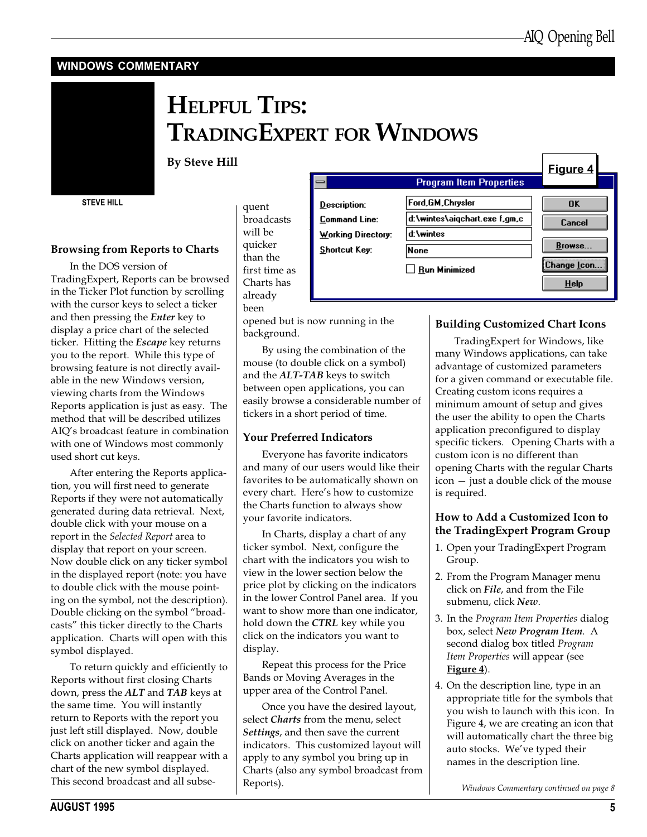$\mathbb{R}^n$ 

### WINDOWS COMMENTARY



# HELPFUL TIPS: TRADINGEXPERT FOR WINDOWS

### By Steve Hill

STEVE HILL

### Browsing from Reports to Charts

In the DOS version of TradingExpert, Reports can be browsed in the Ticker Plot function by scrolling with the cursor keys to select a ticker and then pressing the Enter key to display a price chart of the selected ticker. Hitting the *Escape* key returns you to the report. While this type of browsing feature is not directly available in the new Windows version, viewing charts from the Windows Reports application is just as easy. The method that will be described utilizes AIO's broadcast feature in combination with one of Windows most commonly used short cut keys.

After entering the Reports application, you will first need to generate Reports if they were not automatically generated during data retrieval. Next, double click with your mouse on a report in the Selected Report area to display that report on your screen. Now double click on any ticker symbol in the displayed report (note: you have to double click with the mouse pointing on the symbol, not the description). Double clicking on the symbol "broadcasts" this ticker directly to the Charts application. Charts will open with this symbol displayed.

To return quickly and efficiently to Reports without first closing Charts down, press the ALT and TAB keys at the same time. You will instantly return to Reports with the report you just left still displayed. Now, double click on another ticker and again the Charts application will reappear with a chart of the new symbol displayed. This second broadcast and all subsequent broadcasts will be quicker than the first time as Charts has already been

opened but is now running in the background.

By using the combination of the mouse (to double click on a symbol) and the ALT-TAB keys to switch between open applications, you can easily browse a considerable number of tickers in a short period of time.

### Your Preferred Indicators

Everyone has favorite indicators and many of our users would like their favorites to be automatically shown on every chart. Here's how to customize the Charts function to always show your favorite indicators.

In Charts, display a chart of any ticker symbol. Next, configure the chart with the indicators you wish to view in the lower section below the price plot by clicking on the indicators in the lower Control Panel area. If you want to show more than one indicator, hold down the CTRL key while you click on the indicators you want to display.

Repeat this process for the Price Bands or Moving Averages in the upper area of the Control Panel.

Once you have the desired layout, select Charts from the menu, select Settings, and then save the current indicators. This customized layout will apply to any symbol you bring up in Charts (also any symbol broadcast from Reports).

|                                | Figure 4                |
|--------------------------------|-------------------------|
| <b>Program Item Properties</b> |                         |
| Ford, GM, Chrysler             | 0K                      |
| d:\wintes\aigchart.exe f,gm,c  | Cancel                  |
| d:\wintes                      |                         |
| None                           | Browse                  |
| Run Minimized                  | Change Icon.<br>$He$ lp |
|                                |                         |

### Building Customized Chart Icons

TradingExpert for Windows, like many Windows applications, can take advantage of customized parameters for a given command or executable file. Creating custom icons requires a minimum amount of setup and gives the user the ability to open the Charts application preconfigured to display specific tickers. Opening Charts with a custom icon is no different than opening Charts with the regular Charts  $\text{icon} - \text{just}$  a double click of the mouse is required.

### How to Add a Customized Icon to the TradingExpert Program Group

- 1. Open your TradingExpert Program Group.
- 2. From the Program Manager menu click on File, and from the File submenu, click New.
- 3. In the Program Item Properties dialog box, select New Program Item. A second dialog box titled Program Item Properties will appear (see Figure 4).
- 4. On the description line, type in an appropriate title for the symbols that you wish to launch with this icon. In Figure 4, we are creating an icon that will automatically chart the three big auto stocks. We've typed their names in the description line.

Windows Commentary continued on page 8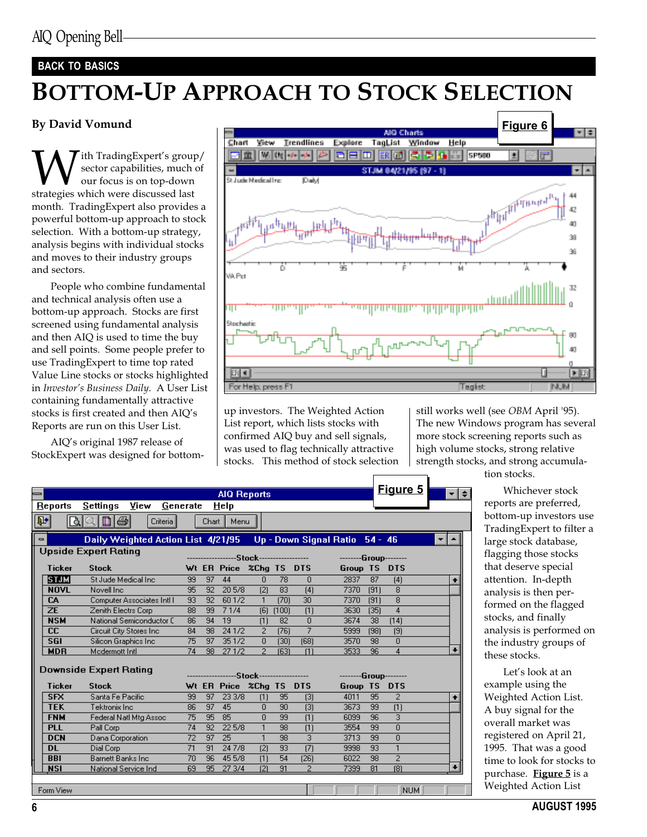### BACK TO BASICS

# BOTTOM-UP APPROACH TO STOCK SELECTION

### By David Vomund

With TradingExpert's group/<br>sector capabilities, much of<br>strategies which were discussed last sector capabilities, much of our focus is on top-down month. TradingExpert also provides a powerful bottom-up approach to stock selection. With a bottom-up strategy, analysis begins with individual stocks and moves to their industry groups and sectors.

People who combine fundamental and technical analysis often use a bottom-up approach. Stocks are first screened using fundamental analysis and then AIQ is used to time the buy and sell points. Some people prefer to use TradingExpert to time top rated Value Line stocks or stocks highlighted in Investor's Business Daily. A User List containing fundamentally attractive stocks is first created and then AIQ's Reports are run on this User List.

AIQ's original 1987 release of StockExpert was designed for bottom-



up investors. The Weighted Action List report, which lists stocks with confirmed AIQ buy and sell signals, was used to flag technically attractive stocks. This method of stock selection still works well (see OBM April '95). The new Windows program has several more stock screening reports such as high volume stocks, strong relative strength stocks, and strong accumula-

tion stocks.

|                    |                                                              |    |                 | <b>AIQ Reports</b>                        |                |       |                 |                       |           | Figure 5                | ≁l≑       |
|--------------------|--------------------------------------------------------------|----|-----------------|-------------------------------------------|----------------|-------|-----------------|-----------------------|-----------|-------------------------|-----------|
| Reports            | $\overline{\underline{\mathbf{S}}}$ ettings<br>View Generate |    |                 | Help                                      |                |       |                 |                       |           |                         |           |
| $\mathbb{R}$<br>டி | ləi<br>Ш<br>Criteria <sup>l</sup>                            |    | Chart           | Menu                                      |                |       |                 |                       |           |                         |           |
|                    |                                                              |    |                 |                                           |                |       |                 |                       |           |                         |           |
| $\blacksquare$     |                                                              |    |                 |                                           |                |       |                 |                       | $54 - 46$ |                         | ▼         |
|                    | <b>Upside Expert Rating</b>                                  |    |                 |                                           |                |       |                 |                       |           |                         |           |
|                    |                                                              |    |                 | ------------------Stock------------------ |                |       |                 | --------Group-------- |           |                         |           |
| <b>Ticker</b>      | <b>Stock</b>                                                 |    |                 | Wt ER Price %Chg TS DTS                   |                |       |                 | Group TS DTS          |           |                         |           |
| <b>STJM</b>        | St Jude Medical Inc.                                         | 99 | 97              | 44                                        | $\overline{0}$ | 78    | $\Omega$        | 2837                  | 87        | (4)                     | $\bullet$ |
| <b>NOVL</b>        | Novell Inc.                                                  | 95 | 92              | 205/8                                     | (2)            | 83    | [4]             | 7370                  | (91)      | $\overline{8}$          |           |
| CA                 | Computer Associates Intl I                                   | 93 | 92 <sub>1</sub> | 601/2                                     | $\mathbf{1}$   | (70)  | 30 <sub>2</sub> | 7370                  | (91)      | 8                       |           |
| <b>ZE</b>          | Zenith Electrs Corp                                          | 88 | 99              | 71/4                                      | [6]            | (100) | (1)             | 3630                  | (35)      | $\overline{4}$          |           |
| <b>NSM</b>         | National Semiconductor C                                     | 86 | 94              | 19                                        | (1)            | 82    | $\Box$          | 3674                  | 38        | [14]                    |           |
| cc                 | Circuit City Stores Inc.                                     | 84 | 98              | 241/2                                     | $\overline{2}$ | (76)  | 7               | 5999                  | (98)      | (9)                     |           |
| 56I                | Silicon Graphics Inc.                                        | 75 | 97              | 351/2                                     | $\overline{0}$ | (30)  | (68)            | 3570                  | 98        | $\Omega$                |           |
| <b>MDR</b>         | Mcdermott Intl.                                              | 74 | 98              | 27 1/2                                    | $\overline{2}$ | (63)  | (1)             | 3533                  | 96        | $\overline{4}$          | $\ddot{}$ |
|                    |                                                              |    |                 |                                           |                |       |                 |                       |           |                         |           |
|                    | Downside Expert Rating                                       |    |                 | ------------------Stock------------------ |                |       |                 | --------Group-------- |           |                         |           |
| <b>Ticker</b>      | <b>Stock</b>                                                 |    |                 | Wt ER Price %Chg TS DTS                   |                |       |                 | Group TS DTS          |           |                         |           |
| <b>SFX</b>         | Santa Fe Pacific                                             | 99 | 97              | 23 3/8                                    | (1)            | 95    | $[3]$           | 4011                  | 95        | $\overline{2}$          | ٠         |
| <b>TEK</b>         | Tektronix Inc.                                               | 86 | 97              | 45                                        | $\Box$         | 90    | $[3]$           | 3673                  | 99        | (1)                     |           |
| <b>FNM</b>         | Federal Natl Mtg Assoc                                       | 75 | 95              | 85                                        | $\Box$         | 99    | (1)             | 6099                  | 96        | 3                       |           |
| <b>PLL</b>         | Pall Corp                                                    | 74 | 92              | 225/8                                     | $\mathbf{1}$   | 98    | (1)             | 3554                  | 99        | $\overline{\mathsf{n}}$ |           |
| <b>DCN</b>         | Dana Corporation                                             | 72 | 97              | 25                                        | $\mathbf{1}$   | 98    | $\overline{3}$  | 3713                  | 99        | $\overline{\mathsf{n}}$ |           |
| <b>DL</b>          | Dial Corp                                                    | 71 | 91              | 24 7/8                                    | (2)            | 93    | (7)             | 9998                  | 93        | $\overline{1}$          |           |
| <b>BBI</b>         | <b>Barnett Banks Inc.</b>                                    | 70 | 96              | 45 5/8                                    | (1)            | 54    | [26]            | 6022                  | 98        | $\overline{2}$          |           |
| <b>NSI</b>         | National Service Ind                                         | 69 |                 | 95 27 3/4                                 | (2)            | 91    | $\overline{2}$  | 7399                  | 81        | (8)                     |           |
|                    |                                                              |    |                 |                                           |                |       |                 |                       |           |                         |           |
| Form View          |                                                              |    |                 |                                           |                |       |                 |                       |           | <b>MITTER</b>           |           |

Whichever stock reports are preferred, bottom-up investors use TradingExpert to filter a large stock database, flagging those stocks that deserve special attention. In-depth analysis is then performed on the flagged stocks, and finally analysis is performed on the industry groups of these stocks.

Let's look at an example using the Weighted Action List. A buy signal for the overall market was registered on April 21, 1995. That was a good time to look for stocks to purchase. Figure 5 is a Weighted Action List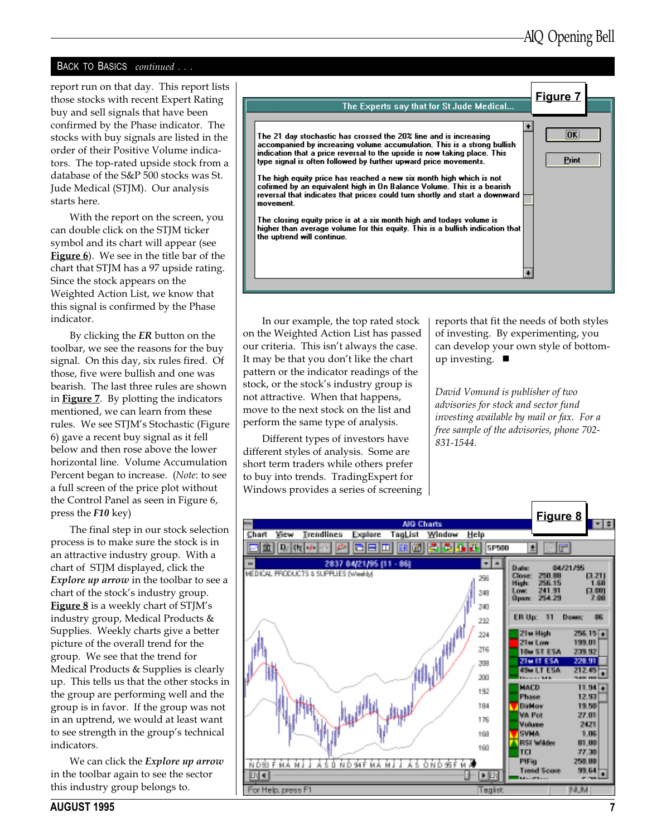### BACK TO BASICS continued . . .

report run on that day. This report lists those stocks with recent Expert Rating buy and sell signals that have been confirmed by the Phase indicator. The stocks with buy signals are listed in the order of their Positive Volume indicators. The top-rated upside stock from a database of the S&P 500 stocks was St. Jude Medical (STJM). Our analysis starts here.

With the report on the screen, you can double click on the STJM ticker symbol and its chart will appear (see **Figure 6**). We see in the title bar of the chart that STJM has a 97 upside rating. Since the stock appears on the Weighted Action List, we know that this signal is confirmed by the Phase indicator.

By clicking the ER button on the toolbar, we see the reasons for the buy signal. On this day, six rules fired. Of those, five were bullish and one was bearish. The last three rules are shown in **Figure 7**. By plotting the indicators mentioned, we can learn from these rules. We see STJM's Stochastic (Figure 6) gave a recent buy signal as it fell below and then rose above the lower horizontal line. Volume Accumulation Percent began to increase. (Note: to see a full screen of the price plot without the Control Panel as seen in Figure 6, press the F10 key)

The final step in our stock selection process is to make sure the stock is in an attractive industry group. With a chart of STJM displayed, click the Explore up arrow in the toolbar to see a chart of the stock's industry group. Figure 8 is a weekly chart of STJM's industry group, Medical Products & Supplies. Weekly charts give a better picture of the overall trend for the group. We see that the trend for Medical Products & Supplies is clearly up. This tells us that the other stocks in the group are performing well and the group is in favor. If the group was not in an uptrend, we would at least want to see strength in the group's technical indicators.

We can click the Explore up arrow in the toolbar again to see the sector this industry group belongs to.



In our example, the top rated stock on the Weighted Action List has passed our criteria. This isn't always the case. It may be that you don't like the chart pattern or the indicator readings of the stock, or the stock's industry group is not attractive. When that happens, move to the next stock on the list and perform the same type of analysis.

Different types of investors have different styles of analysis. Some are short term traders while others prefer to buy into trends. TradingExpert for Windows provides a series of screening reports that fit the needs of both styles of investing. By experimenting, you can develop your own style of bottomup investing.  $\blacksquare$ 

David Vomund is publisher of two advisories for stock and sector fund investing available by mail or fax. For a free sample of the advisories, phone 702- 831-1544.